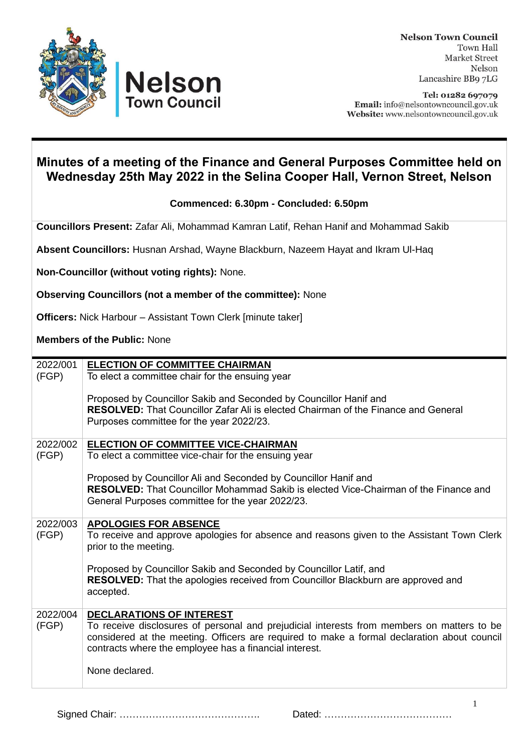



Tel: 01282 697079 Email: info@nelsontowncouncil.gov.uk Website: www.nelsontowncouncil.gov.uk

## **Minutes of a meeting of the Finance and General Purposes Committee held on Wednesday 25th May 2022 in the Selina Cooper Hall, Vernon Street, Nelson**

**Commenced: 6.30pm - Concluded: 6.50pm** 

**Councillors Present:** Zafar Ali, Mohammad Kamran Latif, Rehan Hanif and Mohammad Sakib

**Absent Councillors:** Husnan Arshad, Wayne Blackburn, Nazeem Hayat and Ikram Ul-Haq

**Non-Councillor (without voting rights):** None.

**Observing Councillors (not a member of the committee):** None

**Officers:** Nick Harbour – Assistant Town Clerk [minute taker]

**Members of the Public:** None

| 2022/001 | <b>ELECTION OF COMMITTEE CHAIRMAN</b>                                                       |
|----------|---------------------------------------------------------------------------------------------|
| (FGP)    | To elect a committee chair for the ensuing year                                             |
|          |                                                                                             |
|          | Proposed by Councillor Sakib and Seconded by Councillor Hanif and                           |
|          |                                                                                             |
|          | <b>RESOLVED:</b> That Councillor Zafar Ali is elected Chairman of the Finance and General   |
|          | Purposes committee for the year 2022/23.                                                    |
|          |                                                                                             |
| 2022/002 | <b>ELECTION OF COMMITTEE VICE-CHAIRMAN</b>                                                  |
| (FGP)    | To elect a committee vice-chair for the ensuing year                                        |
|          |                                                                                             |
|          | Proposed by Councillor Ali and Seconded by Councillor Hanif and                             |
|          |                                                                                             |
|          | <b>RESOLVED:</b> That Councillor Mohammad Sakib is elected Vice-Chairman of the Finance and |
|          | General Purposes committee for the year 2022/23.                                            |
|          |                                                                                             |
| 2022/003 | <b>APOLOGIES FOR ABSENCE</b>                                                                |
| (FGP)    | To receive and approve apologies for absence and reasons given to the Assistant Town Clerk  |
|          | prior to the meeting.                                                                       |
|          |                                                                                             |
|          |                                                                                             |
|          | Proposed by Councillor Sakib and Seconded by Councillor Latif, and                          |
|          | <b>RESOLVED:</b> That the apologies received from Councillor Blackburn are approved and     |
|          | accepted.                                                                                   |
|          |                                                                                             |
| 2022/004 | <b>DECLARATIONS OF INTEREST</b>                                                             |
| (FGP)    | To receive disclosures of personal and prejudicial interests from members on matters to be  |
|          | considered at the meeting. Officers are required to make a formal declaration about council |
|          | contracts where the employee has a financial interest.                                      |
|          |                                                                                             |
|          |                                                                                             |
|          | None declared.                                                                              |
|          |                                                                                             |

Signed Chair: ……………………………………. Dated: …………………………………

1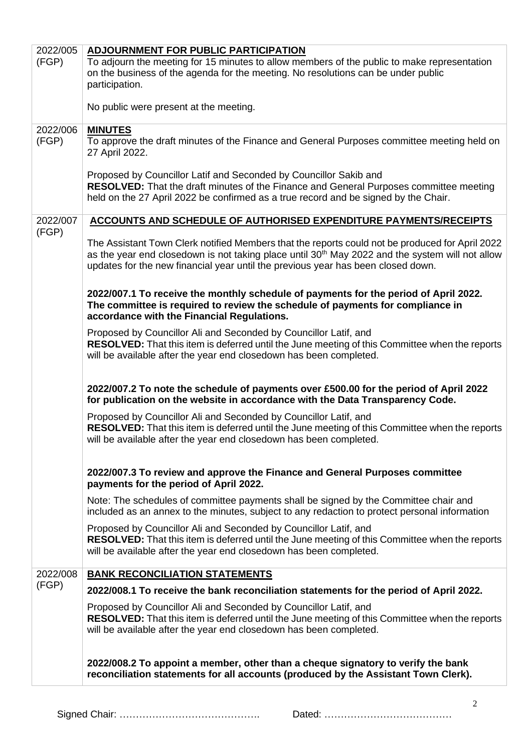| 2022/005 | <b>ADJOURNMENT FOR PUBLIC PARTICIPATION</b>                                                                                                                                                                                                                                                        |
|----------|----------------------------------------------------------------------------------------------------------------------------------------------------------------------------------------------------------------------------------------------------------------------------------------------------|
| (FGP)    | To adjourn the meeting for 15 minutes to allow members of the public to make representation<br>on the business of the agenda for the meeting. No resolutions can be under public                                                                                                                   |
|          | participation.                                                                                                                                                                                                                                                                                     |
|          | No public were present at the meeting.                                                                                                                                                                                                                                                             |
| 2022/006 | <b>MINUTES</b>                                                                                                                                                                                                                                                                                     |
| (FGP)    | To approve the draft minutes of the Finance and General Purposes committee meeting held on<br>27 April 2022.                                                                                                                                                                                       |
|          | Proposed by Councillor Latif and Seconded by Councillor Sakib and<br>RESOLVED: That the draft minutes of the Finance and General Purposes committee meeting<br>held on the 27 April 2022 be confirmed as a true record and be signed by the Chair.                                                 |
| 2022/007 | <b>ACCOUNTS AND SCHEDULE OF AUTHORISED EXPENDITURE PAYMENTS/RECEIPTS</b>                                                                                                                                                                                                                           |
| (FGP)    | The Assistant Town Clerk notified Members that the reports could not be produced for April 2022<br>as the year end closedown is not taking place until 30 <sup>th</sup> May 2022 and the system will not allow<br>updates for the new financial year until the previous year has been closed down. |
|          | 2022/007.1 To receive the monthly schedule of payments for the period of April 2022.<br>The committee is required to review the schedule of payments for compliance in<br>accordance with the Financial Regulations.                                                                               |
|          | Proposed by Councillor Ali and Seconded by Councillor Latif, and<br>RESOLVED: That this item is deferred until the June meeting of this Committee when the reports<br>will be available after the year end closedown has been completed.                                                           |
|          | 2022/007.2 To note the schedule of payments over £500.00 for the period of April 2022<br>for publication on the website in accordance with the Data Transparency Code.                                                                                                                             |
|          | Proposed by Councillor Ali and Seconded by Councillor Latif, and<br>RESOLVED: That this item is deferred until the June meeting of this Committee when the reports<br>will be available after the year end closedown has been completed.                                                           |
|          | 2022/007.3 To review and approve the Finance and General Purposes committee<br>payments for the period of April 2022.                                                                                                                                                                              |
|          | Note: The schedules of committee payments shall be signed by the Committee chair and<br>included as an annex to the minutes, subject to any redaction to protect personal information                                                                                                              |
|          | Proposed by Councillor Ali and Seconded by Councillor Latif, and<br>RESOLVED: That this item is deferred until the June meeting of this Committee when the reports<br>will be available after the year end closedown has been completed.                                                           |
| 2022/008 | <b>BANK RECONCILIATION STATEMENTS</b>                                                                                                                                                                                                                                                              |
| (FGP)    | 2022/008.1 To receive the bank reconciliation statements for the period of April 2022.                                                                                                                                                                                                             |
|          | Proposed by Councillor Ali and Seconded by Councillor Latif, and                                                                                                                                                                                                                                   |
|          | RESOLVED: That this item is deferred until the June meeting of this Committee when the reports<br>will be available after the year end closedown has been completed.                                                                                                                               |
|          | 2022/008.2 To appoint a member, other than a cheque signatory to verify the bank<br>reconciliation statements for all accounts (produced by the Assistant Town Clerk).                                                                                                                             |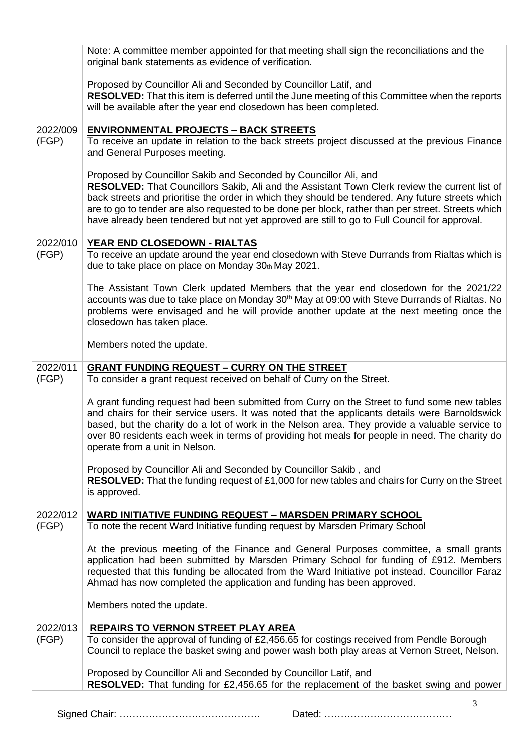|                   | Note: A committee member appointed for that meeting shall sign the reconciliations and the<br>original bank statements as evidence of verification.                                                                                                                                                                                                                                                                                                                          |
|-------------------|------------------------------------------------------------------------------------------------------------------------------------------------------------------------------------------------------------------------------------------------------------------------------------------------------------------------------------------------------------------------------------------------------------------------------------------------------------------------------|
|                   | Proposed by Councillor Ali and Seconded by Councillor Latif, and<br>RESOLVED: That this item is deferred until the June meeting of this Committee when the reports<br>will be available after the year end closedown has been completed.                                                                                                                                                                                                                                     |
| 2022/009          | <b>ENVIRONMENTAL PROJECTS - BACK STREETS</b>                                                                                                                                                                                                                                                                                                                                                                                                                                 |
| (FGP)             | To receive an update in relation to the back streets project discussed at the previous Finance<br>and General Purposes meeting.                                                                                                                                                                                                                                                                                                                                              |
|                   | Proposed by Councillor Sakib and Seconded by Councillor Ali, and<br>RESOLVED: That Councillors Sakib, Ali and the Assistant Town Clerk review the current list of<br>back streets and prioritise the order in which they should be tendered. Any future streets which<br>are to go to tender are also requested to be done per block, rather than per street. Streets which<br>have already been tendered but not yet approved are still to go to Full Council for approval. |
| 2022/010          | YEAR END CLOSEDOWN - RIALTAS                                                                                                                                                                                                                                                                                                                                                                                                                                                 |
| (FGP)             | To receive an update around the year end closedown with Steve Durrands from Rialtas which is<br>due to take place on place on Monday 30th May 2021.                                                                                                                                                                                                                                                                                                                          |
|                   | The Assistant Town Clerk updated Members that the year end closedown for the 2021/22<br>accounts was due to take place on Monday 30 <sup>th</sup> May at 09:00 with Steve Durrands of Rialtas. No<br>problems were envisaged and he will provide another update at the next meeting once the<br>closedown has taken place.                                                                                                                                                   |
|                   | Members noted the update.                                                                                                                                                                                                                                                                                                                                                                                                                                                    |
| 2022/011<br>(FGP) | <b>GRANT FUNDING REQUEST - CURRY ON THE STREET</b><br>To consider a grant request received on behalf of Curry on the Street.                                                                                                                                                                                                                                                                                                                                                 |
|                   | A grant funding request had been submitted from Curry on the Street to fund some new tables<br>and chairs for their service users. It was noted that the applicants details were Barnoldswick<br>based, but the charity do a lot of work in the Nelson area. They provide a valuable service to<br>over 80 residents each week in terms of providing hot meals for people in need. The charity do<br>operate from a unit in Nelson.                                          |
|                   | Proposed by Councillor Ali and Seconded by Councillor Sakib, and                                                                                                                                                                                                                                                                                                                                                                                                             |
|                   | RESOLVED: That the funding request of £1,000 for new tables and chairs for Curry on the Street<br>is approved.                                                                                                                                                                                                                                                                                                                                                               |
| 2022/012<br>(FGP) | <b>WARD INITIATIVE FUNDING REQUEST - MARSDEN PRIMARY SCHOOL</b><br>To note the recent Ward Initiative funding request by Marsden Primary School                                                                                                                                                                                                                                                                                                                              |
|                   | At the previous meeting of the Finance and General Purposes committee, a small grants<br>application had been submitted by Marsden Primary School for funding of £912. Members<br>requested that this funding be allocated from the Ward Initiative pot instead. Councillor Faraz<br>Ahmad has now completed the application and funding has been approved.                                                                                                                  |
|                   | Members noted the update.                                                                                                                                                                                                                                                                                                                                                                                                                                                    |
| 2022/013          | <b>REPAIRS TO VERNON STREET PLAY AREA</b>                                                                                                                                                                                                                                                                                                                                                                                                                                    |
| (FGP)             | To consider the approval of funding of £2,456.65 for costings received from Pendle Borough<br>Council to replace the basket swing and power wash both play areas at Vernon Street, Nelson.                                                                                                                                                                                                                                                                                   |
|                   | Proposed by Councillor Ali and Seconded by Councillor Latif, and<br>RESOLVED: That funding for £2,456.65 for the replacement of the basket swing and power                                                                                                                                                                                                                                                                                                                   |